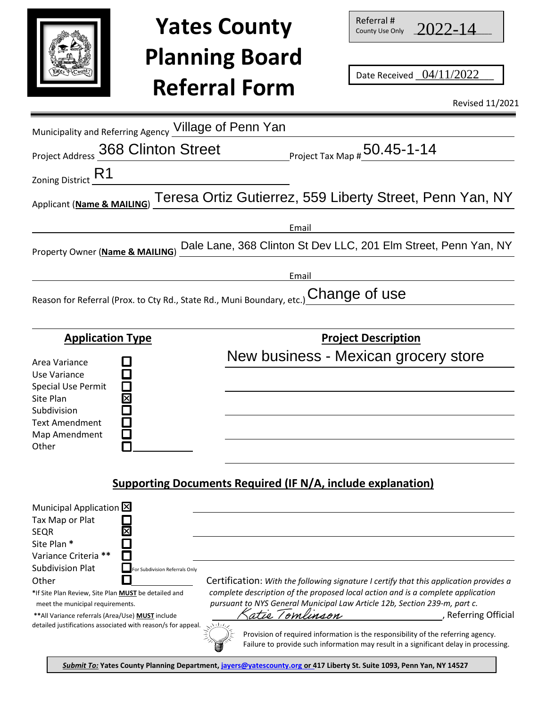

## **Yates County Planning Board Referral Form**

| Referral #      |             |
|-----------------|-------------|
| County Use Only | $2022 - 14$ |

|                                                                                                                                                                                                                                                                                                                                                                                          | <b>Yates County</b><br><b>Planning Board</b><br><b>Referral Form</b>             |                                                  | $nc$ icii ai <del>#</del><br>County Use Only | Date Received _04/11/2022<br><b>Revised 11/2021</b>                                                                                                                                                                                                                                                                                                                           |
|------------------------------------------------------------------------------------------------------------------------------------------------------------------------------------------------------------------------------------------------------------------------------------------------------------------------------------------------------------------------------------------|----------------------------------------------------------------------------------|--------------------------------------------------|----------------------------------------------|-------------------------------------------------------------------------------------------------------------------------------------------------------------------------------------------------------------------------------------------------------------------------------------------------------------------------------------------------------------------------------|
| Municipality and Referring Agency Village of Penn Yan<br>Project Address 368 Clinton Street                                                                                                                                                                                                                                                                                              |                                                                                  | <b>Project Tax Map # <math>50.45</math>-1-14</b> |                                              |                                                                                                                                                                                                                                                                                                                                                                               |
| Zoning District R1                                                                                                                                                                                                                                                                                                                                                                       |                                                                                  |                                                  |                                              |                                                                                                                                                                                                                                                                                                                                                                               |
| Applicant (Name & MAILING)                                                                                                                                                                                                                                                                                                                                                               | Teresa Ortiz Gutierrez, 559 Liberty Street, Penn Yan, NY                         |                                                  |                                              |                                                                                                                                                                                                                                                                                                                                                                               |
| Property Owner (Name & MAILING)                                                                                                                                                                                                                                                                                                                                                          |                                                                                  | Email                                            |                                              | Dale Lane, 368 Clinton St Dev LLC, 201 Elm Street, Penn Yan, NY                                                                                                                                                                                                                                                                                                               |
| Reason for Referral (Prox. to Cty Rd., State Rd., Muni Boundary, etc.)                                                                                                                                                                                                                                                                                                                   |                                                                                  | Email                                            | Change of use                                |                                                                                                                                                                                                                                                                                                                                                                               |
| <b>Application Type</b>                                                                                                                                                                                                                                                                                                                                                                  |                                                                                  |                                                  | <b>Project Description</b>                   |                                                                                                                                                                                                                                                                                                                                                                               |
| Area Variance<br>Use Variance<br><b>Special Use Permit</b><br>Site Plan<br>Subdivision<br><b>Text Amendment</b><br>Map Amendment<br>Other                                                                                                                                                                                                                                                |                                                                                  |                                                  |                                              | New business - Mexican grocery store                                                                                                                                                                                                                                                                                                                                          |
|                                                                                                                                                                                                                                                                                                                                                                                          | <b>Supporting Documents Required (IF N/A, include explanation)</b>               |                                                  |                                              |                                                                                                                                                                                                                                                                                                                                                                               |
| Municipal Application   X<br>Tax Map or Plat<br><b>SEQR</b><br>Site Plan*<br>Variance Criteria **<br><b>Subdivision Plat</b><br>For Subdivision Referrals Only<br>Other<br>*If Site Plan Review, Site Plan MUST be detailed and<br>meet the municipal requirements.<br>** All Variance referrals (Area/Use) MUST include<br>detailed justifications associated with reason/s for appeal. | pursuant to NYS General Municipal Law Article 12b, Section 239-m, part c.<br>いしん | atie Tomlinson                                   |                                              | Certification: With the following signature I certify that this application provides a<br>complete description of the proposed local action and is a complete application<br>, Referring Official<br>Provision of required information is the responsibility of the referring agency.<br>Failure to provide such information may result in a significant delay in processing. |

*Submit To:* **Yates County Planning Department, jayers@[yatescounty.org](mailto:dlong@yatescounty.org) or 417 Liberty St. Suite 1093, Penn Yan, NY 14527**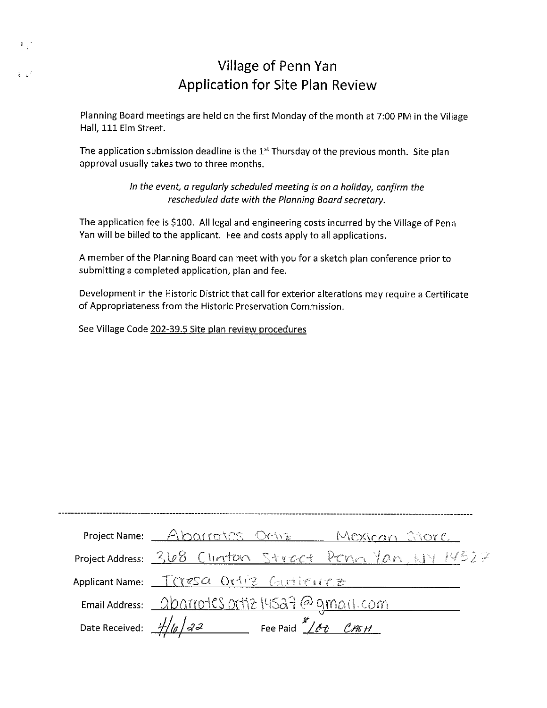### **Village of Penn Yan** Application for Site Plan Review

Planning Board meetings are held on the first Monday of the month at 7:00 PM in the Village Hall, 111 Elm Street.

The application submission deadline is the 1<sup>st</sup> Thursday of the previous month. Site plan approval usually takes two to three months.

> In the event, a regularly scheduled meeting is on a holiday, confirm the rescheduled date with the Planning Board secretary.

The application fee is \$100. All legal and engineering costs incurred by the Village of Penn Yan will be billed to the applicant. Fee and costs apply to all applications.

A member of the Planning Board can meet with you for a sketch plan conference prior to submitting a completed application, plan and fee.

Development in the Historic District that call for exterior alterations may require a Certificate of Appropriateness from the Historic Preservation Commission.

See Village Code 202-39.5 Site plan review procedures

 $\mathbf{L}$ 

 $\frac{1}{2}$ 

| Project Name: Abarrotes Ortiz Mexican Store              |  |
|----------------------------------------------------------|--|
| Project Address: 368 Clinton Street Penn Yan W14527      |  |
| Applicant Name: Tresa Ortiz Curtience                    |  |
| Email Address: <u>QDAYYDICS OFTIZ IYISA7</u> @ amail.com |  |
|                                                          |  |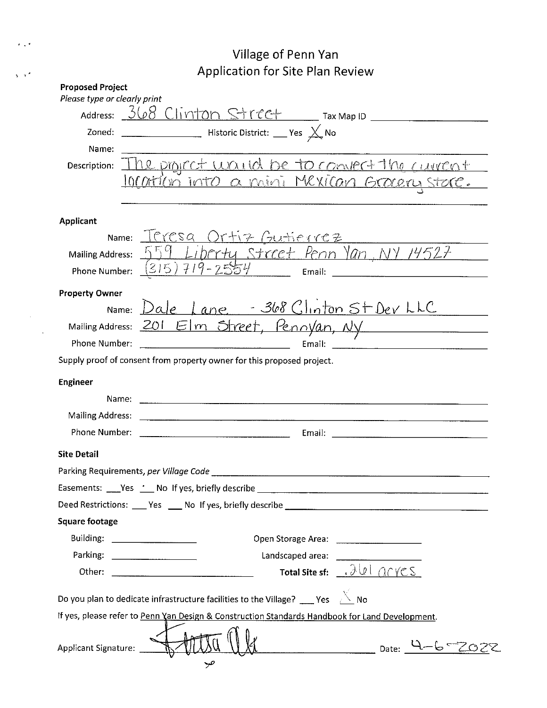## Village of Penn Yan Application for Site Plan Review

 $\epsilon \propto \epsilon$ 

 $\sqrt{s}$ 

|                                | Address: $368$ Cliviton Street Tax Map ID                                                       |
|--------------------------------|-------------------------------------------------------------------------------------------------|
| Zoned:                         | Historic District: Nes X No                                                                     |
| Name:                          |                                                                                                 |
| Description:                   | he project waited be to convert the current<br>10 Cation into a mini Mexican Graery stare.      |
| Applicant                      |                                                                                                 |
|                                | <u>Name: Illresa Ortiz Gutierrez</u>                                                            |
| Mailing Address:               | <u>559 Libertu Street Penn Yan NY 14527 - 1</u>                                                 |
| Phone Number:                  | $(315)$ 719-2554 [mail: 2001]                                                                   |
| <b>Property Owner</b>          |                                                                                                 |
|                                | Name: Dale Lane - 368 Clinton St Dev LLC                                                        |
|                                | Mailing Address: 201 Elm Street, Pennyan, Ny                                                    |
| Phone Number:                  |                                                                                                 |
|                                | Supply proof of consent from property owner for this proposed project.                          |
| <b>Engineer</b>                |                                                                                                 |
|                                |                                                                                                 |
|                                |                                                                                                 |
| Phone Number:                  |                                                                                                 |
| <b>Site Detail</b>             |                                                                                                 |
|                                | Parking Requirements, per Village Code ________                                                 |
|                                |                                                                                                 |
|                                |                                                                                                 |
| <b>Square footage</b>          |                                                                                                 |
| Building: ____________________ |                                                                                                 |
|                                |                                                                                                 |
|                                | Total Site sf: 300 ACYCS                                                                        |
|                                |                                                                                                 |
|                                | Do you plan to dedicate infrastructure facilities to the Village? ____ Yes $\sqrt{2}$ No        |
|                                | If yes, please refer to Penn Yan Design & Construction Standards Handbook for Land Development. |
|                                |                                                                                                 |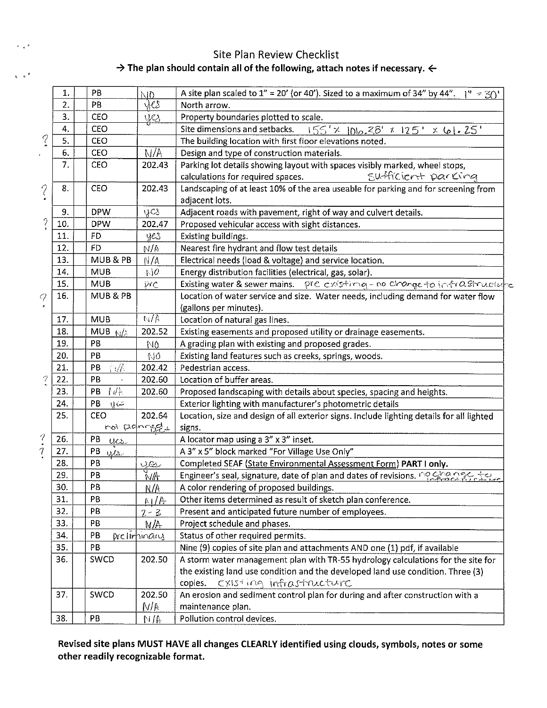#### Site Plan Review Checklist  $\rightarrow$  The plan should contain all of the following, attach notes if necessary.  $\leftarrow$

 $\sim$   $\sim$   $\sim$ 

 $\sqrt{2}$ 

|                                       | 1.  | PB                | ND.                | A site plan scaled to $1'' = 20'$ (or 40'). Sized to a maximum of 34" by 44".<br>$1^{\circ}$ = 30' |
|---------------------------------------|-----|-------------------|--------------------|----------------------------------------------------------------------------------------------------|
|                                       | 2.  | PB                | jes                | North arrow.                                                                                       |
|                                       | 3.  | CEO               | <u>yes</u>         | Property boundaries plotted to scale.                                                              |
|                                       | 4.  | CEO               |                    | $155'$ × $1010.38'$ × 125' × 61.25'<br>Site dimensions and setbacks.                               |
| $\mathcal{C}$                         | 5.  | CEO               |                    | The building location with first floor elevations noted.                                           |
|                                       | 6.  | CEO               | N/A                | Design and type of construction materials.                                                         |
|                                       | 7.  | <b>CEO</b>        | 202.43             | Parking lot details showing layout with spaces visibly marked, wheel stops,                        |
|                                       |     |                   |                    | Sufficient parking<br>calculations for required spaces.                                            |
| $\gamma$                              | 8.  | CEO               | 202.43             | Landscaping of at least 10% of the area useable for parking and for screening from                 |
|                                       |     |                   |                    | adjacent lots.                                                                                     |
|                                       | 9.  | <b>DPW</b>        | yes                | Adjacent roads with pavement, right of way and culvert details.                                    |
| $\frac{2}{3}$                         | 10. | <b>DPW</b>        | 202.47             | Proposed vehicular access with sight distances.                                                    |
|                                       | 11. | <b>FD</b>         | yes                | Existing buildings.                                                                                |
|                                       | 12. | <b>FD</b>         | AN/4               | Nearest fire hydrant and flow test details                                                         |
|                                       | 13. | MUB & PB          | N/A                | Electrical needs (load & voltage) and service location.                                            |
|                                       | 14. | <b>MUB</b>        | NQ                 | Energy distribution facilities (electrical, gas, solar).                                           |
|                                       | 15. | <b>MUB</b>        | $\tilde{\gamma}$ c | Existing water & sewer mains. Pre existing - no change to infrastructure                           |
| q                                     | 16. | MUB & PB          |                    | Location of water service and size. Water needs, including demand for water flow                   |
|                                       |     |                   |                    | (gallons per minutes).                                                                             |
|                                       | 17. | <b>MUB</b>        | $N/\hbar$          | Location of natural gas lines.                                                                     |
|                                       | 18. | MUB $N/\lambda$   | 202.52             | Existing easements and proposed utility or drainage easements.                                     |
|                                       | 19. | PB                | NÓ                 | A grading plan with existing and proposed grades.                                                  |
|                                       | 20. | PB                | NÓ                 | Existing land features such as creeks, springs, woods.                                             |
|                                       | 21. | $\eta/\ell$<br>PB | 202.42             | Pedestrian access.                                                                                 |
| $\boldsymbol{\gamma}$                 | 22. | PB<br>¥.          | 202.60             | Location of buffer areas.                                                                          |
|                                       | 23. | 付信<br>PB          | 202.60             | Proposed landscaping with details about species, spacing and heights.                              |
|                                       | 24. | PB<br>$y\in$      |                    | Exterior lighting with manufacturer's photometric details                                          |
|                                       | 25. | CEO               | 202.64             | Location, size and design of all exterior signs. Include lighting details for all lighted          |
|                                       |     |                   | not proponed.      | signs.                                                                                             |
| 9                                     | 26. | PB<br>$0\alpha$   |                    | A locator map using a 3" x 3" inset.                                                               |
| $\bullet$<br>$\overline{\mathcal{L}}$ | 27. | PB<br>us          |                    | A 3" x 5" block marked "For Village Use Only"                                                      |
|                                       | 28. | PB                | yes                | Completed SEAF (State Environmental Assessment Form) PART I only.                                  |
|                                       | 29. | PB                | with               | Engineer's seal, signature, date of plan and dates of revisions. no change to                      |
|                                       | 30. | PB                | N/A                | A color rendering of proposed buildings.                                                           |
|                                       | 31. | PB                | N/R                | Other items determined as result of sketch plan conference.                                        |
|                                       | 32. | PB                | $2 - 3$            | Present and anticipated future number of employees.                                                |
|                                       | 33. | PB                | N/A                | Project schedule and phases.                                                                       |
|                                       | 34. | PB                | Drellminary        | Status of other required permits.                                                                  |
|                                       | 35. | PB                |                    | Nine (9) copies of site plan and attachments AND one (1) pdf, if available                         |
|                                       | 36. | SWCD              | 202.50             | A storm water management plan with TR-55 hydrology calculations for the site for                   |
|                                       |     |                   |                    | the existing land use condition and the developed land use condition. Three (3)                    |
|                                       |     |                   |                    | existing infrastructure<br>copies.                                                                 |
|                                       | 37. | SWCD              | 202.50             | An erosion and sediment control plan for during and after construction with a                      |
|                                       |     |                   | M/V                |                                                                                                    |
|                                       |     | PB                |                    | maintenance plan.                                                                                  |
|                                       | 38. |                   | M/A                | Pollution control devices.                                                                         |

Revised site plans MUST HAVE all changes CLEARLY identified using clouds, symbols, notes or some other readily recognizable format.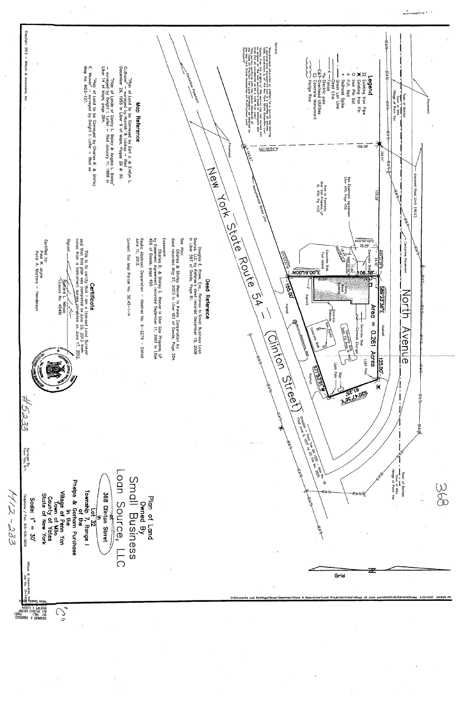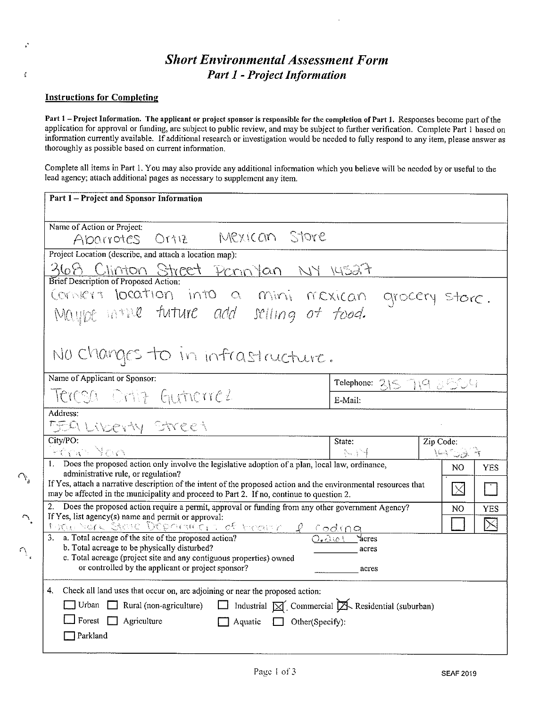#### **Short Environmental Assessment Form Part 1 - Project Information**

#### **Instructions for Completing**

ł,

 $\mathbf{v}_{\mathcal{A}}$ 

 $\bigcap_\delta$ 

 $\Delta$ 

Part 1 - Project Information. The applicant or project sponsor is responsible for the completion of Part 1. Responses become part of the application for approval or funding, are subject to public review, and may be subject to further verification. Complete Part 1 based on information currently available. If additional research or investigation would be needed to fully respond to any item, please answer as thoroughly as possible based on current information.

Complete all items in Part 1. You may also provide any additional information which you believe will be needed by or useful to the lead agency; attach additional pages as necessary to supplement any item.

| Part 1 - Project and Sponsor Information                                                                                                                                                                      |                         |             |  |  |
|---------------------------------------------------------------------------------------------------------------------------------------------------------------------------------------------------------------|-------------------------|-------------|--|--|
| Name of Action or Project:<br>Mexican Store<br>Abarrotes Ortiz                                                                                                                                                |                         |             |  |  |
| Project Location (describe, and attach a location map):                                                                                                                                                       |                         |             |  |  |
| <u>368 Clinton Street Pennylan NY 14527</u>                                                                                                                                                                   |                         |             |  |  |
| Brief Description of Proposed Action:                                                                                                                                                                         |                         |             |  |  |
|                                                                                                                                                                                                               |                         |             |  |  |
| Convert location into a mini mexican grocery store.<br>Maybe intile future add selling of food.                                                                                                               |                         |             |  |  |
| No changes to in infrastructure.                                                                                                                                                                              |                         |             |  |  |
| Name of Applicant or Sponsor:                                                                                                                                                                                 | Telephone: 315 719 2004 |             |  |  |
| Teresa Ortiz Gutierrez                                                                                                                                                                                        | E-Mail:                 |             |  |  |
| Address:                                                                                                                                                                                                      |                         |             |  |  |
| <u> 559 Liberty Street</u>                                                                                                                                                                                    |                         |             |  |  |
| City/PO:                                                                                                                                                                                                      | State:                  | Zip Code:   |  |  |
| <u> Peran You</u>                                                                                                                                                                                             | 一个小手。                   | 14.79.44    |  |  |
| 1. Does the proposed action only involve the legislative adoption of a plan, local law, ordinance,<br>administrative rule, or regulation?                                                                     |                         | NO.<br>YES  |  |  |
| If Yes, attach a narrative description of the intent of the proposed action and the environmental resources that<br>may be affected in the municipality and proceed to Part 2. If no, continue to question 2. |                         | $\Box$<br>X |  |  |
| 2. Does the proposed action require a permit, approval or funding from any other government Agency?<br>NO<br><b>YES</b>                                                                                       |                         |             |  |  |
| If Yes, list agency(s) name and permit or approval:                                                                                                                                                           |                         |             |  |  |
| 1 rue of Steve Departure of Economy proding                                                                                                                                                                   |                         | $\boxtimes$ |  |  |
| b. Total acreage to be physically disturbed?                                                                                                                                                                  | acres                   |             |  |  |
| c. Total acreage (project site and any contiguous properties) owned<br>or controlled by the applicant or project sponsor?                                                                                     | acres                   |             |  |  |
| Check all land uses that occur on, are adjoining or near the proposed action:<br>4.                                                                                                                           |                         |             |  |  |
| $\Box$ Industrial $\boxtimes'$ Commercial $\cancel{\boxtimes}$ Residential (suburban)<br>$\Box$ Urban $\Box$ Rural (non-agriculture)                                                                          |                         |             |  |  |
| Forest $\Box$ Agriculture<br>Aquatic $\Box$ Other(Specify):                                                                                                                                                   |                         |             |  |  |
| Parkland                                                                                                                                                                                                      |                         |             |  |  |
|                                                                                                                                                                                                               |                         |             |  |  |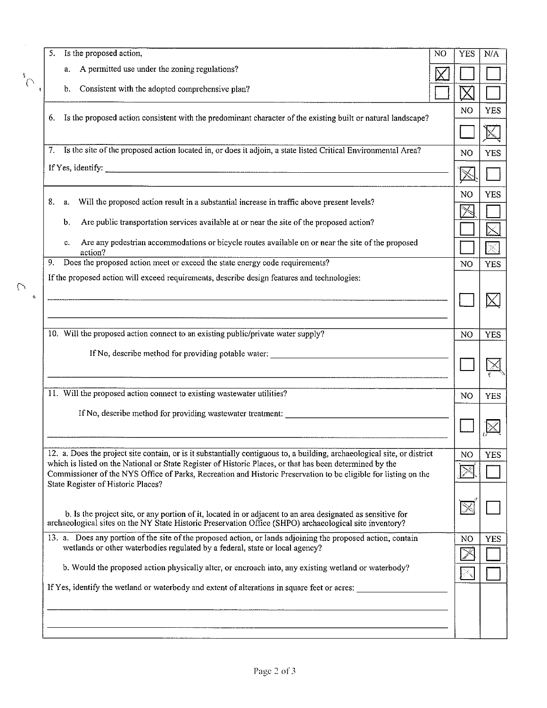| а.<br>$\bigcap$<br>b.<br>6.<br>7.<br>8.<br>a.<br>b.<br>c.<br>action?<br>9.<br>ø, |                                                                                                                                                                                                                                                                                                                                                                                                                                                                                                                                                                                                                                                                                                                                                                                                                                                                                                                                                                                                                                                                                                                                                                                                                                                                                                                                                                                                                                                                                                                                                                                                                                                                                                                                                                                                                                                                                                                                                                                                                                                                                                                                           | N <sub>O</sub><br>N <sub>O</sub><br>$\mathbb X$<br>N <sub>O</sub><br>N <sub>O</sub><br>N <sub>O</sub> |
|----------------------------------------------------------------------------------|-------------------------------------------------------------------------------------------------------------------------------------------------------------------------------------------------------------------------------------------------------------------------------------------------------------------------------------------------------------------------------------------------------------------------------------------------------------------------------------------------------------------------------------------------------------------------------------------------------------------------------------------------------------------------------------------------------------------------------------------------------------------------------------------------------------------------------------------------------------------------------------------------------------------------------------------------------------------------------------------------------------------------------------------------------------------------------------------------------------------------------------------------------------------------------------------------------------------------------------------------------------------------------------------------------------------------------------------------------------------------------------------------------------------------------------------------------------------------------------------------------------------------------------------------------------------------------------------------------------------------------------------------------------------------------------------------------------------------------------------------------------------------------------------------------------------------------------------------------------------------------------------------------------------------------------------------------------------------------------------------------------------------------------------------------------------------------------------------------------------------------------------|-------------------------------------------------------------------------------------------------------|
|                                                                                  |                                                                                                                                                                                                                                                                                                                                                                                                                                                                                                                                                                                                                                                                                                                                                                                                                                                                                                                                                                                                                                                                                                                                                                                                                                                                                                                                                                                                                                                                                                                                                                                                                                                                                                                                                                                                                                                                                                                                                                                                                                                                                                                                           |                                                                                                       |
|                                                                                  |                                                                                                                                                                                                                                                                                                                                                                                                                                                                                                                                                                                                                                                                                                                                                                                                                                                                                                                                                                                                                                                                                                                                                                                                                                                                                                                                                                                                                                                                                                                                                                                                                                                                                                                                                                                                                                                                                                                                                                                                                                                                                                                                           |                                                                                                       |
|                                                                                  |                                                                                                                                                                                                                                                                                                                                                                                                                                                                                                                                                                                                                                                                                                                                                                                                                                                                                                                                                                                                                                                                                                                                                                                                                                                                                                                                                                                                                                                                                                                                                                                                                                                                                                                                                                                                                                                                                                                                                                                                                                                                                                                                           |                                                                                                       |
|                                                                                  | Is the proposed action,<br>N <sub>O</sub><br>A permitted use under the zoning regulations?<br>Consistent with the adopted comprehensive plan?<br>Is the proposed action consistent with the predominant character of the existing built or natural landscape?<br>Is the site of the proposed action located in, or does it adjoin, a state listed Critical Environmental Area?<br>Will the proposed action result in a substantial increase in traffic above present levels?<br>Are public transportation services available at or near the site of the proposed action?<br>Are any pedestrian accommodations or bicycle routes available on or near the site of the proposed<br>Does the proposed action meet or exceed the state energy code requirements?<br>If the proposed action will exceed requirements, describe design features and technologies:<br>10. Will the proposed action connect to an existing public/private water supply?<br>If No, describe method for providing potable water:<br>11. Will the proposed action connect to existing wastewater utilities?<br>If No, describe method for providing wastewater treatment:<br>12. a. Does the project site contain, or is it substantially contiguous to, a building, archaeological site, or district<br>which is listed on the National or State Register of Historic Places, or that has been determined by the<br>Commissioner of the NYS Office of Parks, Recreation and Historic Preservation to be eligible for listing on the<br>b. Is the project site, or any portion of it, located in or adjacent to an area designated as sensitive for<br>archaeological sites on the NY State Historic Preservation Office (SHPO) archaeological site inventory?<br>13. a. Does any portion of the site of the proposed action, or lands adjoining the proposed action, contain<br>wetlands or other waterbodies regulated by a federal, state or local agency?<br>b. Would the proposed action physically alter, or encroach into, any existing wetland or waterbody?<br>If Yes, identify the wetland or waterbody and extent of alterations in square feet or acres: |                                                                                                       |
|                                                                                  |                                                                                                                                                                                                                                                                                                                                                                                                                                                                                                                                                                                                                                                                                                                                                                                                                                                                                                                                                                                                                                                                                                                                                                                                                                                                                                                                                                                                                                                                                                                                                                                                                                                                                                                                                                                                                                                                                                                                                                                                                                                                                                                                           |                                                                                                       |
|                                                                                  |                                                                                                                                                                                                                                                                                                                                                                                                                                                                                                                                                                                                                                                                                                                                                                                                                                                                                                                                                                                                                                                                                                                                                                                                                                                                                                                                                                                                                                                                                                                                                                                                                                                                                                                                                                                                                                                                                                                                                                                                                                                                                                                                           |                                                                                                       |
|                                                                                  |                                                                                                                                                                                                                                                                                                                                                                                                                                                                                                                                                                                                                                                                                                                                                                                                                                                                                                                                                                                                                                                                                                                                                                                                                                                                                                                                                                                                                                                                                                                                                                                                                                                                                                                                                                                                                                                                                                                                                                                                                                                                                                                                           |                                                                                                       |
|                                                                                  |                                                                                                                                                                                                                                                                                                                                                                                                                                                                                                                                                                                                                                                                                                                                                                                                                                                                                                                                                                                                                                                                                                                                                                                                                                                                                                                                                                                                                                                                                                                                                                                                                                                                                                                                                                                                                                                                                                                                                                                                                                                                                                                                           |                                                                                                       |
|                                                                                  |                                                                                                                                                                                                                                                                                                                                                                                                                                                                                                                                                                                                                                                                                                                                                                                                                                                                                                                                                                                                                                                                                                                                                                                                                                                                                                                                                                                                                                                                                                                                                                                                                                                                                                                                                                                                                                                                                                                                                                                                                                                                                                                                           |                                                                                                       |
|                                                                                  |                                                                                                                                                                                                                                                                                                                                                                                                                                                                                                                                                                                                                                                                                                                                                                                                                                                                                                                                                                                                                                                                                                                                                                                                                                                                                                                                                                                                                                                                                                                                                                                                                                                                                                                                                                                                                                                                                                                                                                                                                                                                                                                                           |                                                                                                       |
|                                                                                  |                                                                                                                                                                                                                                                                                                                                                                                                                                                                                                                                                                                                                                                                                                                                                                                                                                                                                                                                                                                                                                                                                                                                                                                                                                                                                                                                                                                                                                                                                                                                                                                                                                                                                                                                                                                                                                                                                                                                                                                                                                                                                                                                           |                                                                                                       |
|                                                                                  |                                                                                                                                                                                                                                                                                                                                                                                                                                                                                                                                                                                                                                                                                                                                                                                                                                                                                                                                                                                                                                                                                                                                                                                                                                                                                                                                                                                                                                                                                                                                                                                                                                                                                                                                                                                                                                                                                                                                                                                                                                                                                                                                           |                                                                                                       |
|                                                                                  |                                                                                                                                                                                                                                                                                                                                                                                                                                                                                                                                                                                                                                                                                                                                                                                                                                                                                                                                                                                                                                                                                                                                                                                                                                                                                                                                                                                                                                                                                                                                                                                                                                                                                                                                                                                                                                                                                                                                                                                                                                                                                                                                           | N <sub>O</sub>                                                                                        |
|                                                                                  |                                                                                                                                                                                                                                                                                                                                                                                                                                                                                                                                                                                                                                                                                                                                                                                                                                                                                                                                                                                                                                                                                                                                                                                                                                                                                                                                                                                                                                                                                                                                                                                                                                                                                                                                                                                                                                                                                                                                                                                                                                                                                                                                           |                                                                                                       |
|                                                                                  |                                                                                                                                                                                                                                                                                                                                                                                                                                                                                                                                                                                                                                                                                                                                                                                                                                                                                                                                                                                                                                                                                                                                                                                                                                                                                                                                                                                                                                                                                                                                                                                                                                                                                                                                                                                                                                                                                                                                                                                                                                                                                                                                           | N <sub>O</sub>                                                                                        |
| State Register of Historic Places?                                               |                                                                                                                                                                                                                                                                                                                                                                                                                                                                                                                                                                                                                                                                                                                                                                                                                                                                                                                                                                                                                                                                                                                                                                                                                                                                                                                                                                                                                                                                                                                                                                                                                                                                                                                                                                                                                                                                                                                                                                                                                                                                                                                                           |                                                                                                       |
|                                                                                  |                                                                                                                                                                                                                                                                                                                                                                                                                                                                                                                                                                                                                                                                                                                                                                                                                                                                                                                                                                                                                                                                                                                                                                                                                                                                                                                                                                                                                                                                                                                                                                                                                                                                                                                                                                                                                                                                                                                                                                                                                                                                                                                                           |                                                                                                       |
|                                                                                  |                                                                                                                                                                                                                                                                                                                                                                                                                                                                                                                                                                                                                                                                                                                                                                                                                                                                                                                                                                                                                                                                                                                                                                                                                                                                                                                                                                                                                                                                                                                                                                                                                                                                                                                                                                                                                                                                                                                                                                                                                                                                                                                                           | N <sub>O</sub>                                                                                        |
|                                                                                  |                                                                                                                                                                                                                                                                                                                                                                                                                                                                                                                                                                                                                                                                                                                                                                                                                                                                                                                                                                                                                                                                                                                                                                                                                                                                                                                                                                                                                                                                                                                                                                                                                                                                                                                                                                                                                                                                                                                                                                                                                                                                                                                                           |                                                                                                       |
|                                                                                  |                                                                                                                                                                                                                                                                                                                                                                                                                                                                                                                                                                                                                                                                                                                                                                                                                                                                                                                                                                                                                                                                                                                                                                                                                                                                                                                                                                                                                                                                                                                                                                                                                                                                                                                                                                                                                                                                                                                                                                                                                                                                                                                                           |                                                                                                       |

Page 2 of 3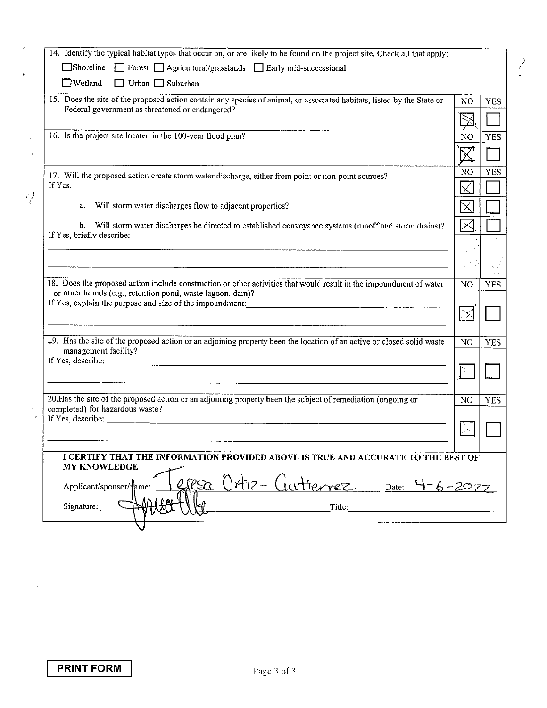| 14. Identify the typical habitat types that occur on, or are likely to be found on the project site. Check all that apply:                                                                                                                                                |                |            |
|---------------------------------------------------------------------------------------------------------------------------------------------------------------------------------------------------------------------------------------------------------------------------|----------------|------------|
| $\Box$ Shoreline $\Box$ Forest $\Box$ Agricultural/grasslands $\Box$ Early mid-successional                                                                                                                                                                               |                |            |
| $\Box$ Wetland<br>$\Box$ Urban $\Box$ Suburban                                                                                                                                                                                                                            |                |            |
| 15. Does the site of the proposed action contain any species of animal, or associated habitats, listed by the State or                                                                                                                                                    | N <sub>O</sub> | <b>YES</b> |
| Federal government as threatened or endangered?                                                                                                                                                                                                                           |                |            |
| 16. Is the project site located in the 100-year flood plan?                                                                                                                                                                                                               | N <sub>O</sub> | <b>YES</b> |
|                                                                                                                                                                                                                                                                           | $\mathbb X$    |            |
| 17. Will the proposed action create storm water discharge, either from point or non-point sources?                                                                                                                                                                        | NO             | <b>YES</b> |
| If Yes,                                                                                                                                                                                                                                                                   |                |            |
| a. Will storm water discharges flow to adjacent properties?                                                                                                                                                                                                               | ⋉              |            |
| b. Will storm water discharges be directed to established conveyance systems (runoff and storm drains)?<br>If Yes, briefly describe:                                                                                                                                      |                |            |
|                                                                                                                                                                                                                                                                           |                |            |
|                                                                                                                                                                                                                                                                           |                |            |
| 18. Does the proposed action include construction or other activities that would result in the impoundment of water                                                                                                                                                       | N <sub>O</sub> | <b>YES</b> |
| or other liquids (e.g., retention pond, waste lagoon, dam)?                                                                                                                                                                                                               |                |            |
|                                                                                                                                                                                                                                                                           | $\geq$         |            |
| 19. Has the site of the proposed action or an adjoining property been the location of an active or closed solid waste<br>management facility?                                                                                                                             | N <sub>O</sub> | <b>YES</b> |
| If Yes, describe: $\frac{1}{2}$ describe: $\frac{1}{2}$ describe: $\frac{1}{2}$ describe: $\frac{1}{2}$ describe: $\frac{1}{2}$ describe: $\frac{1}{2}$ describe: $\frac{1}{2}$ describe: $\frac{1}{2}$ describe: $\frac{1}{2}$ describe: $\frac{1}{2}$ describe: $\frac$ |                |            |
|                                                                                                                                                                                                                                                                           |                |            |
| 20. Has the site of the proposed action or an adjoining property been the subject of remediation (ongoing or<br>completed) for hazardous waste?                                                                                                                           | N <sub>O</sub> | <b>YES</b> |
|                                                                                                                                                                                                                                                                           |                |            |
|                                                                                                                                                                                                                                                                           |                |            |
| I CERTIFY THAT THE INFORMATION PROVIDED ABOVE IS TRUE AND ACCURATE TO THE BEST OF                                                                                                                                                                                         |                |            |
| <b>MY KNOWLEDGE</b>                                                                                                                                                                                                                                                       |                |            |
| $\ell$ S $\alpha$<br>Applicant/sponsor/mame:                                                                                                                                                                                                                              |                |            |
| Ortiz-Gutierrez. Date: 4-6-2022<br>Signature: $\square$<br>Title:                                                                                                                                                                                                         |                |            |

Z

**PRINT FORM** 

 $\bar{\mathcal{A}}$ 

 $\varphi$ 

 $\frac{1}{3}$